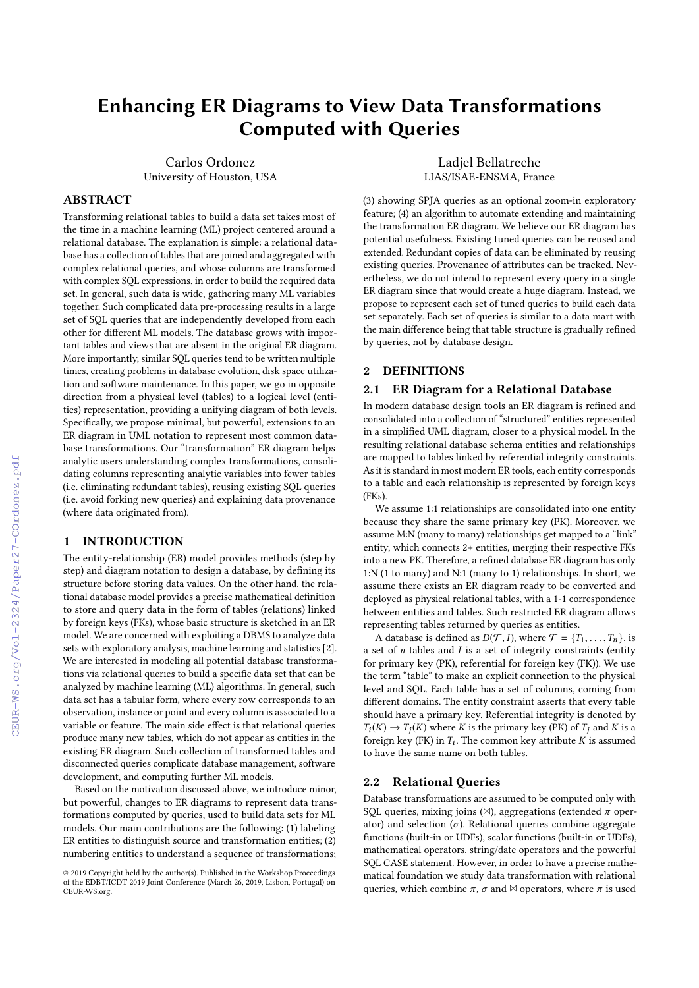# Enhancing ER Diagrams to View Data Transformations Computed with Queries

Carlos Ordonez University of Houston, USA

#### ABSTRACT

Transforming relational tables to build a data set takes most of the time in a machine learning (ML) project centered around a relational database. The explanation is simple: a relational database has a collection of tables that are joined and aggregated with complex relational queries, and whose columns are transformed with complex SQL expressions, in order to build the required data set. In general, such data is wide, gathering many ML variables together. Such complicated data pre-processing results in a large set of SQL queries that are independently developed from each other for different ML models. The database grows with important tables and views that are absent in the original ER diagram. More importantly, similar SQL queries tend to be written multiple times, creating problems in database evolution, disk space utilization and software maintenance. In this paper, we go in opposite direction from a physical level (tables) to a logical level (entities) representation, providing a unifying diagram of both levels. Specifically, we propose minimal, but powerful, extensions to an ER diagram in UML notation to represent most common database transformations. Our "transformation" ER diagram helps analytic users understanding complex transformations, consolidating columns representing analytic variables into fewer tables (i.e. eliminating redundant tables), reusing existing SQL queries (i.e. avoid forking new queries) and explaining data provenance (where data originated from).

## 1 INTRODUCTION

The entity-relationship (ER) model provides methods (step by step) and diagram notation to design a database, by defining its structure before storing data values. On the other hand, the relational database model provides a precise mathematical definition to store and query data in the form of tables (relations) linked by foreign keys (FKs), whose basic structure is sketched in an ER model. We are concerned with exploiting a DBMS to analyze data sets with exploratory analysis, machine learning and statistics [\[2\]](#page--1-0). We are interested in modeling all potential database transformations via relational queries to build a specific data set that can be analyzed by machine learning (ML) algorithms. In general, such data set has a tabular form, where every row corresponds to an observation, instance or point and every column is associated to a variable or feature. The main side effect is that relational queries produce many new tables, which do not appear as entities in the existing ER diagram. Such collection of transformed tables and disconnected queries complicate database management, software development, and computing further ML models.

Based on the motivation discussed above, we introduce minor, but powerful, changes to ER diagrams to represent data transformations computed by queries, used to build data sets for ML models. Our main contributions are the following: (1) labeling ER entities to distinguish source and transformation entities; (2) numbering entities to understand a sequence of transformations;

Ladjel Bellatreche LIAS/ISAE-ENSMA, France

(3) showing SPJA queries as an optional zoom-in exploratory feature; (4) an algorithm to automate extending and maintaining the transformation ER diagram. We believe our ER diagram has potential usefulness. Existing tuned queries can be reused and extended. Redundant copies of data can be eliminated by reusing existing queries. Provenance of attributes can be tracked. Nevertheless, we do not intend to represent every query in a single ER diagram since that would create a huge diagram. Instead, we propose to represent each set of tuned queries to build each data set separately. Each set of queries is similar to a data mart with the main difference being that table structure is gradually refined by queries, not by database design.

#### 2 DEFINITIONS

#### 2.1 ER Diagram for a Relational Database

In modern database design tools an ER diagram is refined and consolidated into a collection of "structured" entities represented in a simplified UML diagram, closer to a physical model. In the resulting relational database schema entities and relationships are mapped to tables linked by referential integrity constraints. As it is standard in most modern ER tools, each entity corresponds to a table and each relationship is represented by foreign keys (FKs).

We assume 1:1 relationships are consolidated into one entity because they share the same primary key (PK). Moreover, we assume M:N (many to many) relationships get mapped to a "link" entity, which connects 2+ entities, merging their respective FKs into a new PK. Therefore, a refined database ER diagram has only 1:N (1 to many) and N:1 (many to 1) relationships. In short, we assume there exists an ER diagram ready to be converted and deployed as physical relational tables, with a 1-1 correspondence between entities and tables. Such restricted ER diagram allows representing tables returned by queries as entities.

A database is defined as  $D(\mathcal{T}, I)$ , where  $\mathcal{T} = \{T_1, \ldots, T_n\}$ , is a set of  $n$  tables and  $I$  is a set of integrity constraints (entity for primary key (PK), referential for foreign key (FK)). We use the term "table" to make an explicit connection to the physical level and SQL. Each table has a set of columns, coming from different domains. The entity constraint asserts that every table should have a primary key. Referential integrity is denoted by  $T_i(K) \to T_i(K)$  where K is the primary key (PK) of  $T_i$  and K is a foreign key (FK) in  $T_i$ . The common key attribute K is assumed<br>to have the same name on both tables to have the same name on both tables.

## 2.2 Relational Queries

Database transformations are assumed to be computed only with SQL queries, mixing joins ( $\bowtie$ ), aggregations (extended  $\pi$  operator) and selection  $(\sigma)$ . Relational queries combine aggregate functions (built-in or UDFs), scalar functions (built-in or UDFs), mathematical operators, string/date operators and the powerful SQL CASE statement. However, in order to have a precise mathematical foundation we study data transformation with relational queries, which combine  $\pi$ ,  $\sigma$  and  $\bowtie$  operators, where  $\pi$  is used

<sup>©</sup> 2019 Copyright held by the author(s). Published in the Workshop Proceedings of the EDBT/ICDT 2019 Joint Conference (March 26, 2019, Lisbon, Portugal) on CEUR-WS.org.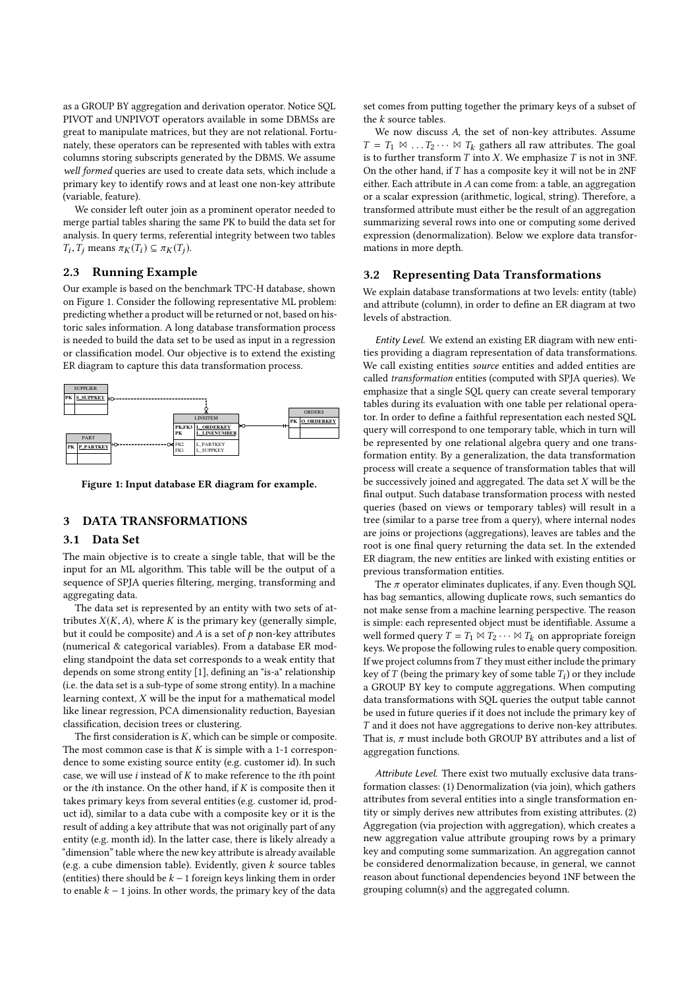as a GROUP BY aggregation and derivation operator. Notice SQL PIVOT and UNPIVOT operators available in some DBMSs are great to manipulate matrices, but they are not relational. Fortunately, these operators can be represented with tables with extra columns storing subscripts generated by the DBMS. We assume well formed queries are used to create data sets, which include a primary key to identify rows and at least one non-key attribute (variable, feature).

We consider left outer join as a prominent operator needed to merge partial tables sharing the same PK to build the data set for analysis. In query terms, referential integrity between two tables  $T_i, T_j$  means  $\pi_K(T_i) \subseteq \pi_K(T_j)$ .

#### 2.3 Running Example

Our example is based on the benchmark TPC-H database, shown on Figure [1.](#page-1-0) Consider the following representative ML problem: predicting whether a product will be returned or not, based on historic sales information. A long database transformation process is needed to build the data set to be used as input in a regression or classification model. Our objective is to extend the existing ER diagram to capture this data transformation process.

<span id="page-1-0"></span>

Figure 1: Input database ER diagram for example.

## 3 DATA TRANSFORMATIONS

#### 3.1 Data Set

The main objective is to create a single table, that will be the input for an ML algorithm. This table will be the output of a sequence of SPJA queries filtering, merging, transforming and aggregating data.

The data set is represented by an entity with two sets of attributes  $X(K, A)$ , where K is the primary key (generally simple, but it could be composite) and  $A$  is a set of  $p$  non-key attributes (numerical & categorical variables). From a database ER modeling standpoint the data set corresponds to a weak entity that depends on some strong entity [\[1\]](#page-4-0), defining an "is-a" relationship (i.e. the data set is a sub-type of some strong entity). In a machine learning context, X will be the input for a mathematical model like linear regression, PCA dimensionality reduction, Bayesian classification, decision trees or clustering.

The first consideration is  $K$ , which can be simple or composite. The most common case is that  $K$  is simple with a 1-1 correspondence to some existing source entity (e.g. customer id). In such case, we will use  $i$  instead of  $K$  to make reference to the  $i$ th point or the *i*th instance. On the other hand, if  $K$  is composite then it takes primary keys from several entities (e.g. customer id, product id), similar to a data cube with a composite key or it is the result of adding a key attribute that was not originally part of any entity (e.g. month id). In the latter case, there is likely already a "dimension" table where the new key attribute is already available (e.g. a cube dimension table). Evidently, given  $k$  source tables (entities) there should be  $k - 1$  foreign keys linking them in order to enable  $k - 1$  joins. In other words, the primary key of the data

set comes from putting together the primary keys of a subset of the k source tables.

We now discuss A, the set of non-key attributes. Assume  $T = T_1 \bowtie \dots T_2 \dots \bowtie T_k$  gathers all raw attributes. The goal is to further transform  $T$  into  $X$ . We emphasize  $T$  is not in 3NF. On the other hand, if  $T$  has a composite key it will not be in 2NF either. Each attribute in A can come from: a table, an aggregation or a scalar expression (arithmetic, logical, string). Therefore, a transformed attribute must either be the result of an aggregation summarizing several rows into one or computing some derived expression (denormalization). Below we explore data transformations in more depth.

## 3.2 Representing Data Transformations

We explain database transformations at two levels: entity (table) and attribute (column), in order to define an ER diagram at two levels of abstraction.

Entity Level. We extend an existing ER diagram with new entities providing a diagram representation of data transformations. We call existing entities source entities and added entities are called transformation entities (computed with SPJA queries). We emphasize that a single SQL query can create several temporary tables during its evaluation with one table per relational operator. In order to define a faithful representation each nested SQL query will correspond to one temporary table, which in turn will be represented by one relational algebra query and one transformation entity. By a generalization, the data transformation process will create a sequence of transformation tables that will be successively joined and aggregated. The data set  $X$  will be the final output. Such database transformation process with nested queries (based on views or temporary tables) will result in a tree (similar to a parse tree from a query), where internal nodes are joins or projections (aggregations), leaves are tables and the root is one final query returning the data set. In the extended ER diagram, the new entities are linked with existing entities or previous transformation entities.

The  $\pi$  operator eliminates duplicates, if any. Even though SQL has bag semantics, allowing duplicate rows, such semantics do not make sense from a machine learning perspective. The reason is simple: each represented object must be identifiable. Assume a well formed query  $T = T_1 \bowtie T_2 \cdots \bowtie T_k$  on appropriate foreign keys. We propose the following rules to enable query composition. If we project columns from  $T$  they must either include the primary key of T (being the primary key of some table  $T_i$ ) or they include<br>a GROUP BY key to compute aggregations. When computing a GROUP BY key to compute aggregations. When computing data transformations with SQL queries the output table cannot be used in future queries if it does not include the primary key of T and it does not have aggregations to derive non-key attributes. That is,  $\pi$  must include both GROUP BY attributes and a list of aggregation functions.

Attribute Level. There exist two mutually exclusive data transformation classes: (1) Denormalization (via join), which gathers attributes from several entities into a single transformation entity or simply derives new attributes from existing attributes. (2) Aggregation (via projection with aggregation), which creates a new aggregation value attribute grouping rows by a primary key and computing some summarization. An aggregation cannot be considered denormalization because, in general, we cannot reason about functional dependencies beyond 1NF between the grouping column(s) and the aggregated column.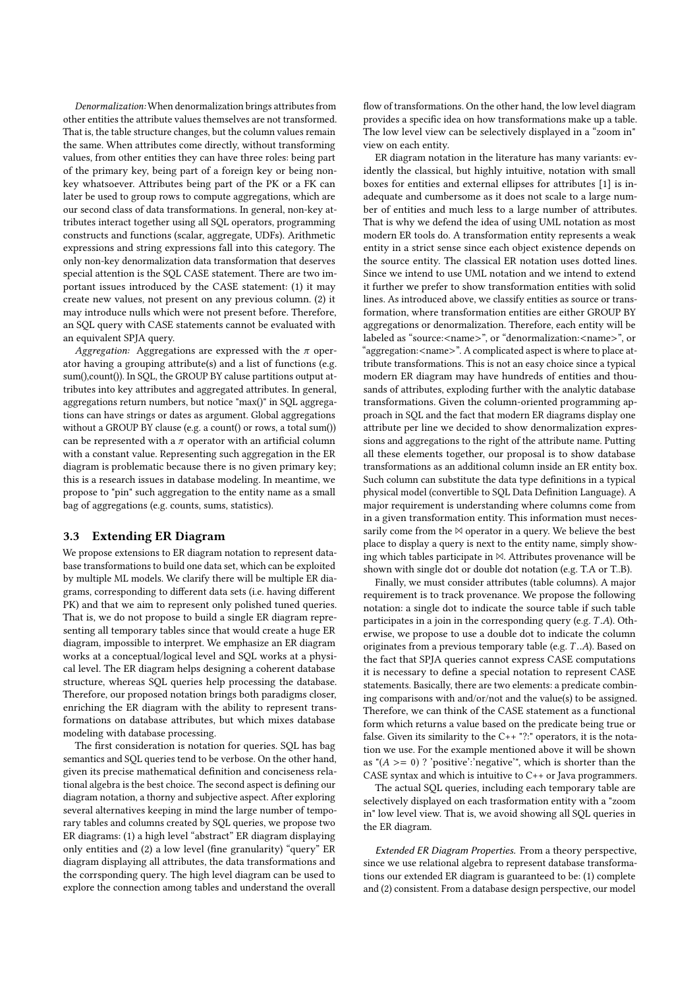Denormalization: When denormalization brings attributes from other entities the attribute values themselves are not transformed. That is, the table structure changes, but the column values remain the same. When attributes come directly, without transforming values, from other entities they can have three roles: being part of the primary key, being part of a foreign key or being nonkey whatsoever. Attributes being part of the PK or a FK can later be used to group rows to compute aggregations, which are our second class of data transformations. In general, non-key attributes interact together using all SQL operators, programming constructs and functions (scalar, aggregate, UDFs). Arithmetic expressions and string expressions fall into this category. The only non-key denormalization data transformation that deserves special attention is the SQL CASE statement. There are two important issues introduced by the CASE statement: (1) it may create new values, not present on any previous column. (2) it may introduce nulls which were not present before. Therefore, an SQL query with CASE statements cannot be evaluated with an equivalent SPJA query.

Aggregation: Aggregations are expressed with the  $\pi$  operator having a grouping attribute(s) and a list of functions (e.g. sum(),count()). In SQL, the GROUP BY caluse partitions output attributes into key attributes and aggregated attributes. In general, aggregations return numbers, but notice "max()" in SQL aggregations can have strings or dates as argument. Global aggregations without a GROUP BY clause (e.g. a count() or rows, a total sum()) can be represented with a  $\pi$  operator with an artificial column with a constant value. Representing such aggregation in the ER diagram is problematic because there is no given primary key; this is a research issues in database modeling. In meantime, we propose to "pin" such aggregation to the entity name as a small bag of aggregations (e.g. counts, sums, statistics).

#### 3.3 Extending ER Diagram

We propose extensions to ER diagram notation to represent database transformations to build one data set, which can be exploited by multiple ML models. We clarify there will be multiple ER diagrams, corresponding to different data sets (i.e. having different PK) and that we aim to represent only polished tuned queries. That is, we do not propose to build a single ER diagram representing all temporary tables since that would create a huge ER diagram, impossible to interpret. We emphasize an ER diagram works at a conceptual/logical level and SQL works at a physical level. The ER diagram helps designing a coherent database structure, whereas SQL queries help processing the database. Therefore, our proposed notation brings both paradigms closer, enriching the ER diagram with the ability to represent transformations on database attributes, but which mixes database modeling with database processing.

The first consideration is notation for queries. SQL has bag semantics and SQL queries tend to be verbose. On the other hand, given its precise mathematical definition and conciseness relational algebra is the best choice. The second aspect is defining our diagram notation, a thorny and subjective aspect. After exploring several alternatives keeping in mind the large number of temporary tables and columns created by SQL queries, we propose two ER diagrams: (1) a high level "abstract" ER diagram displaying only entities and (2) a low level (fine granularity) "query" ER diagram displaying all attributes, the data transformations and the corrsponding query. The high level diagram can be used to explore the connection among tables and understand the overall

flow of transformations. On the other hand, the low level diagram provides a specific idea on how transformations make up a table. The low level view can be selectively displayed in a "zoom in" view on each entity.

ER diagram notation in the literature has many variants: evidently the classical, but highly intuitive, notation with small boxes for entities and external ellipses for attributes [\[1\]](#page-4-0) is inadequate and cumbersome as it does not scale to a large number of entities and much less to a large number of attributes. That is why we defend the idea of using UML notation as most modern ER tools do. A transformation entity represents a weak entity in a strict sense since each object existence depends on the source entity. The classical ER notation uses dotted lines. Since we intend to use UML notation and we intend to extend it further we prefer to show transformation entities with solid lines. As introduced above, we classify entities as source or transformation, where transformation entities are either GROUP BY aggregations or denormalization. Therefore, each entity will be labeled as "source:<name>", or "denormalization:<name>", or "aggregation:<name>". A complicated aspect is where to place attribute transformations. This is not an easy choice since a typical modern ER diagram may have hundreds of entities and thousands of attributes, exploding further with the analytic database transformations. Given the column-oriented programming approach in SQL and the fact that modern ER diagrams display one attribute per line we decided to show denormalization expressions and aggregations to the right of the attribute name. Putting all these elements together, our proposal is to show database transformations as an additional column inside an ER entity box. Such column can substitute the data type definitions in a typical physical model (convertible to SQL Data Definition Language). A major requirement is understanding where columns come from in a given transformation entity. This information must necessarily come from the  $\bowtie$  operator in a query. We believe the best place to display a query is next to the entity name, simply showing which tables participate in  $\mathbb{M}$ . Attributes provenance will be shown with single dot or double dot notation (e.g. T.A or T..B).

Finally, we must consider attributes (table columns). A major requirement is to track provenance. We propose the following notation: a single dot to indicate the source table if such table participates in a join in the corresponding query (e.g. T .A). Otherwise, we propose to use a double dot to indicate the column originates from a previous temporary table (e.g. T ..A). Based on the fact that SPJA queries cannot express CASE computations it is necessary to define a special notation to represent CASE statements. Basically, there are two elements: a predicate combining comparisons with and/or/not and the value(s) to be assigned. Therefore, we can think of the CASE statement as a functional form which returns a value based on the predicate being true or false. Given its similarity to the  $C++$  "?:" operators, it is the notation we use. For the example mentioned above it will be shown as " $(A \ge 0)$  ? 'positive':'negative'", which is shorter than the CASE syntax and which is intuitive to C++ or Java programmers.

The actual SQL queries, including each temporary table are selectively displayed on each trasformation entity with a "zoom in" low level view. That is, we avoid showing all SQL queries in the ER diagram.

Extended ER Diagram Properties. From a theory perspective, since we use relational algebra to represent database transformations our extended ER diagram is guaranteed to be: (1) complete and (2) consistent. From a database design perspective, our model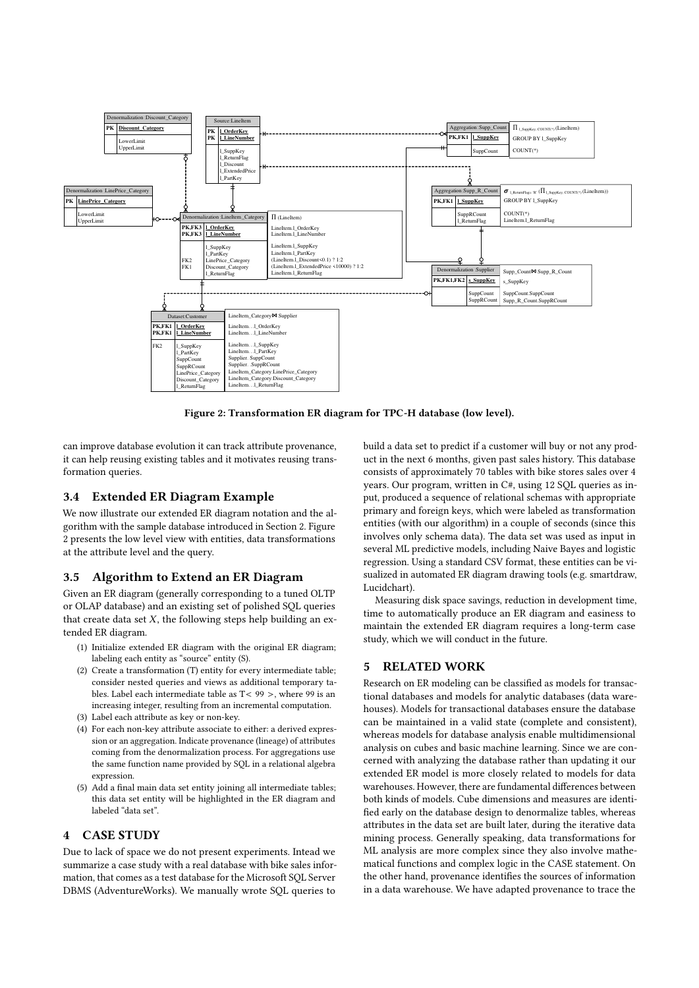<span id="page-3-0"></span>

Figure 2: Transformation ER diagram for TPC-H database (low level).

can improve database evolution it can track attribute provenance, it can help reusing existing tables and it motivates reusing transformation queries.

#### 3.4 Extended ER Diagram Example

We now illustrate our extended ER diagram notation and the algorithm with the sample database introduced in Section [2.](#page--1-1) Figure [2](#page-3-0) presents the low level view with entities, data transformations at the attribute level and the query.

## 3.5 Algorithm to Extend an ER Diagram

Given an ER diagram (generally corresponding to a tuned OLTP or OLAP database) and an existing set of polished SQL queries that create data set  $X$ , the following steps help building an extended ER diagram.

- (1) Initialize extended ER diagram with the original ER diagram; labeling each entity as "source" entity (S).
- (2) Create a transformation (T) entity for every intermediate table; consider nested queries and views as additional temporary tables. Label each intermediate table as  $T < 99$  >, where 99 is an increasing integer, resulting from an incremental computation.
- (3) Label each attribute as key or non-key.
- (4) For each non-key attribute associate to either: a derived expression or an aggregation. Indicate provenance (lineage) of attributes coming from the denormalization process. For aggregations use the same function name provided by SQL in a relational algebra expression.
- (5) Add a final main data set entity joining all intermediate tables; this data set entity will be highlighted in the ER diagram and labeled "data set".

## 4 CASE STUDY

Due to lack of space we do not present experiments. Intead we summarize a case study with a real database with bike sales information, that comes as a test database for the Microsoft SQL Server DBMS (AdventureWorks). We manually wrote SQL queries to

build a data set to predict if a customer will buy or not any product in the next 6 months, given past sales history. This database consists of approximately 70 tables with bike stores sales over 4 years. Our program, written in C#, using 12 SQL queries as input, produced a sequence of relational schemas with appropriate primary and foreign keys, which were labeled as transformation entities (with our algorithm) in a couple of seconds (since this involves only schema data). The data set was used as input in several ML predictive models, including Naive Bayes and logistic regression. Using a standard CSV format, these entities can be visualized in automated ER diagram drawing tools (e.g. smartdraw, Lucidchart).

Measuring disk space savings, reduction in development time, time to automatically produce an ER diagram and easiness to maintain the extended ER diagram requires a long-term case study, which we will conduct in the future.

## 5 RELATED WORK

Research on ER modeling can be classified as models for transactional databases and models for analytic databases (data warehouses). Models for transactional databases ensure the database can be maintained in a valid state (complete and consistent), whereas models for database analysis enable multidimensional analysis on cubes and basic machine learning. Since we are concerned with analyzing the database rather than updating it our extended ER model is more closely related to models for data warehouses. However, there are fundamental differences between both kinds of models. Cube dimensions and measures are identified early on the database design to denormalize tables, whereas attributes in the data set are built later, during the iterative data mining process. Generally speaking, data transformations for ML analysis are more complex since they also involve mathematical functions and complex logic in the CASE statement. On the other hand, provenance identifies the sources of information in a data warehouse. We have adapted provenance to trace the